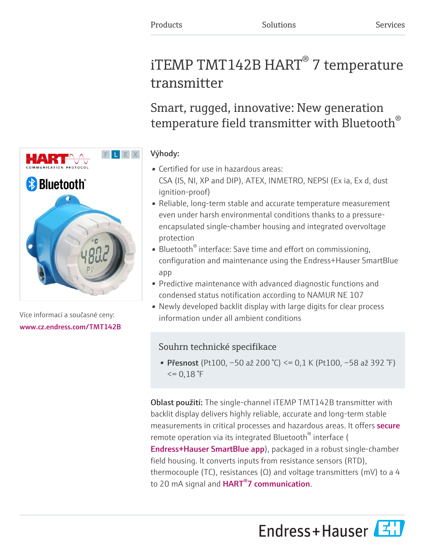# iTEMP TMT142B  $HART^{\circledast}$  7 temperature transmitter

Smart, rugged, innovative: New generation temperature field transmitter with Bluetooth $^\circ$ 

### Výhody:

- Certified for use in hazardous areas: CSA (IS, NI, XP and DIP), ATEX, INMETRO, NEPSI (Ex ia, Ex d, dust ignition-proof)
- Reliable, long-term stable and accurate temperature measurement even under harsh environmental conditions thanks to a pressureencapsulated single-chamber housing and integrated overvoltage protection
- Bluetooth<sup>®</sup> interface: Save time and effort on commissioning, configuration and maintenance using the Endress+Hauser SmartBlue app
- Predictive maintenance with advanced diagnostic functions and condensed status notification according to NAMUR NE 107
- Newly developed backlit display with large digits for clear process information under all ambient conditions

## Souhrn technické specifikace

• Přesnost (Pt100, −50 až 200 °C) <= 0,1 K (Pt100, −58 až 392 °F)  $\leq$  = 0,18 °F

Oblast použití: The single-channel iTEMP TMT142B transmitter with backlit display delivers highly reliable, accurate and long-term stable measurements in critical processes and hazardous areas. It offers **[secure](https://www.endress.com/en/media-center/news-and-press-releases/cPace)** remote operation via its integrated Bluetooth® interface ( [Endress+Hauser SmartBlue app](https://www.endress.com/en/field-instruments-overview/measurement-technologies/SmartBlue-App)), packaged in a robust single-chamber field housing. It converts inputs from resistance sensors (RTD), thermocouple (TC), resistances ( $\Omega$ ) and voltage transmitters (mV) to a 4 to 20 mA signal and **HART<sup>®</sup>7 communication**.





Více informací a současné ceny: [www.cz.endress.com/TMT142B](https://www.cz.endress.com/TMT142B)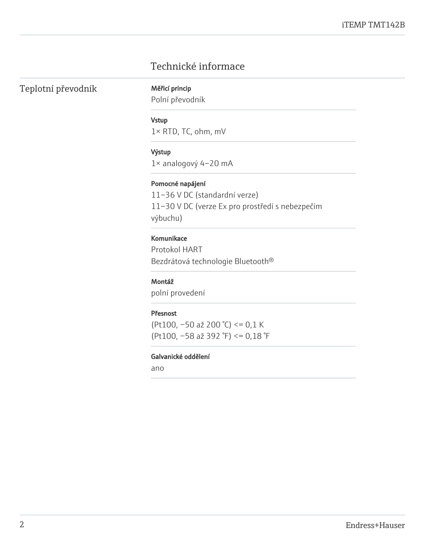## Technické informace

Teplotní převodník Měřicí princip

Polní převodník

#### Vstup

1× RTD, TC, ohm, mV

#### Výstup

1× analogový 4–20 mA

#### Pomocné napájení

11–36 V DC (standardní verze) 11–30 V DC (verze Ex pro prostředí s nebezpečím výbuchu)

#### Komunikace

Protokol HART Bezdrátová technologie Bluetooth®

#### Montáž

polní provedení

#### Přesnost

(Pt100, −50 až 200 °C) <= 0,1 K (Pt100, −58 až 392 °F) <= 0,18 °F

#### Galvanické oddělení

ano